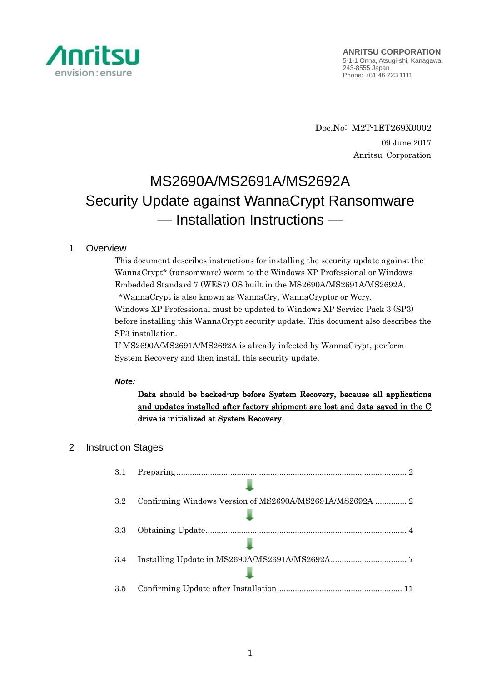

Doc.No: M2T-1ET269X0002 09 June 2017 Anritsu Corporation

# MS2690A/MS2691A/MS2692A Security Update against WannaCrypt Ransomware — Installation Instructions —

# 1 Overview

This document describes instructions for installing the security update against the WannaCrypt\* (ransomware) worm to the Windows XP Professional or Windows Embedded Standard 7 (WES7) OS built in the MS2690A/MS2691A/MS2692A. \*WannaCrypt is also known as WannaCry, WannaCryptor or Wcry. Windows XP Professional must be updated to Windows XP Service Pack 3 (SP3)

before installing this WannaCrypt security update. This document also describes the SP3 installation.

If MS2690A/MS2691A/MS2692A is already infected by WannaCrypt, perform System Recovery and then install this security update.

## *Note:*

Data should be backed-up before System Recovery, because all applications and updates installed after factory shipment are lost and data saved in the C drive is initialized at System Recovery.

# 2 Instruction Stages

| 3.1 |                                                          |
|-----|----------------------------------------------------------|
|     |                                                          |
| 3.2 | Confirming Windows Version of MS2690A/MS2691A/MS2692A  2 |
|     |                                                          |
| 3.3 |                                                          |
|     |                                                          |
| 3.4 |                                                          |
|     |                                                          |
| 3.5 |                                                          |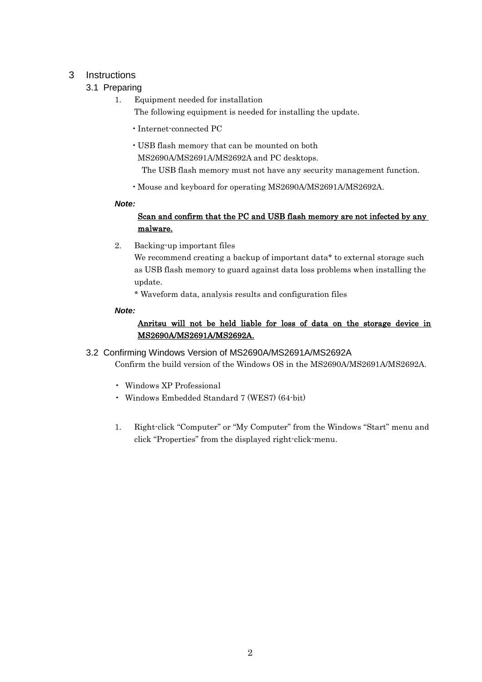# <span id="page-1-2"></span><span id="page-1-0"></span>3 Instructions

# 3.1 Preparing

- 1. Equipment needed for installation The following equipment is needed for installing the update.
	- •Internet-connected PC
	- USB flash memory that can be mounted on both MS2690A/MS2691A/MS2692A and PC desktops.

The USB flash memory must not have any security management function.

•Mouse and keyboard for operating MS2690A/MS2691A/MS2692A.

#### *Note:*

## Scan and confirm that the PC and USB flash memory are not infected by any malware.

2. Backing-up important files

We recommend creating a backup of important data\* to external storage such as USB flash memory to guard against data loss problems when installing the update.

\* Waveform data, analysis results and configuration files

## *Note:*

# Anritsu will not be held liable for loss of data on the storage device in MS2690A/MS2691A/MS2692A.

## <span id="page-1-1"></span>3.2 Confirming Windows Version of MS2690A/MS2691A/MS2692A

Confirm the build version of the Windows OS in the MS2690A/MS2691A/MS2692A.

- Windows XP Professional
- Windows Embedded Standard 7 (WES7) (64-bit)
- 1. Right-click "Computer" or "My Computer" from the Windows "Start" menu and click "Properties" from the displayed right-click-menu.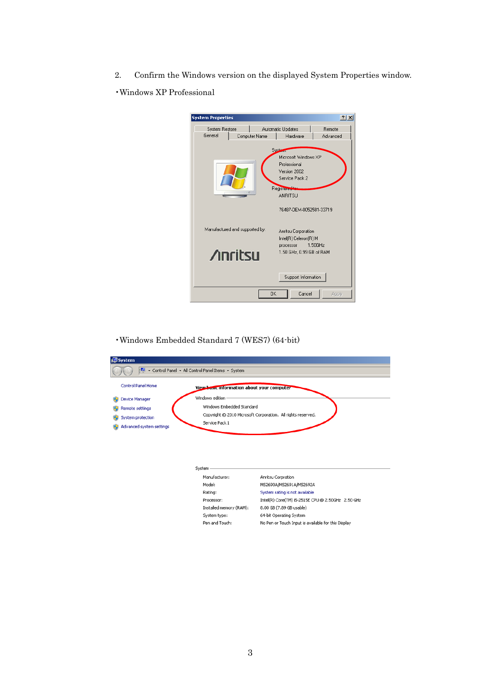2. Confirm the Windows version on the displayed System Properties window.

•Windows XP Professional

| <b>System Properties</b>                                           | 2x                                                                                                                                                    |  |  |  |  |  |  |
|--------------------------------------------------------------------|-------------------------------------------------------------------------------------------------------------------------------------------------------|--|--|--|--|--|--|
| System Restore<br>General<br>Computer Name                         | Automatic Updates<br><b>Remote</b><br>Hardware<br>Advanced                                                                                            |  |  |  |  |  |  |
| $\sim$                                                             | <b>System</b><br>Microsoft Windows XP<br>Professional<br>Version 2002<br>Service Pack 2<br><b>Registered to</b><br>ANRITSU<br>76487-0EM-0052581-33719 |  |  |  |  |  |  |
| Manufactured and supported by:                                     | Anritsu Corporation<br>Intel(R) Celeron(R) M                                                                                                          |  |  |  |  |  |  |
| 1.50GHz<br>processor<br><b>∧nritsu</b><br>1.50 GHz, 0.99 GB of RAM |                                                                                                                                                       |  |  |  |  |  |  |
| Support Information                                                |                                                                                                                                                       |  |  |  |  |  |  |
|                                                                    | OK<br>Cancel<br>Apply                                                                                                                                 |  |  |  |  |  |  |

•Windows Embedded Standard 7 (WES7) (64-bit)



8.00 GB (7.89 GB usable)

64-bit Operating System

No Pen or Touch Input is available for this Display

Installed memory (RAM):

System type:

Pen and Touch: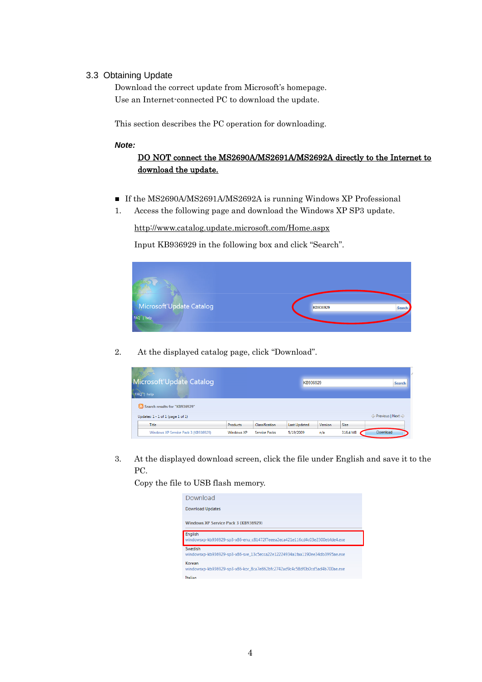#### <span id="page-3-0"></span>3.3 Obtaining Update

Download the correct update from Microsoft's homepage. Use an Internet-connected PC to download the update.

This section describes the PC operation for downloading.

#### *Note:*

## DO NOT connect the MS2690A/MS2691A/MS2692A directly to the Internet to download the update.

- If the MS2690A/MS2691A/MS2692A is running Windows XP Professional
- 1. Access the following page and download the Windows XP SP3 update.

<http://www.catalog.update.microsoft.com/Home.aspx>

Input KB936929 in the following box and click "Search".



2. At the displayed catalog page, click "Download".

| Microsoft Update Catalog<br>FAQ   help     |                   |                       |                     | KB936929 |             | Search                |
|--------------------------------------------|-------------------|-----------------------|---------------------|----------|-------------|-----------------------|
| Search results for "KB936929"              |                   |                       |                     |          |             |                       |
| Updates: $1 - 1$ of $1$ (page $1$ of $1$ ) |                   |                       |                     |          |             | < Previous   Next < > |
| Title                                      | <b>Products</b>   | <b>Classification</b> | <b>Last Updated</b> | Version  | <b>Size</b> |                       |
| Windows XP Service Pack 3 (KB936929)       | <b>Windows XP</b> | <b>Service Packs</b>  | 5/19/2009           | n/a      | 316.4 MB    | Download              |

3. At the displayed download screen, click the file under English and save it to the PC.

Copy the file to USB flash memory.

| Download                                                                               |
|----------------------------------------------------------------------------------------|
| <b>Download Updates</b>                                                                |
| <b>Windows XP Service Pack 3 (KB936929)</b>                                            |
| English<br>windowsxp-kb936929-sp3-x86-enu_c81472f7eeea2eca421e116cd4c03e2300ebfde4.exe |
| Swedish<br>windowsxp-kb936929-sp3-x86-sve 13c5ecca22e12224934a1faa1190ee34db3995ae.exe |
| Korean<br>windowsxp-kb936929-sp3-x86-kor_8ca7e862bfc2742ad9c4c58df0b0cd5ad4b700ae.exe  |
| <b>Italian</b>                                                                         |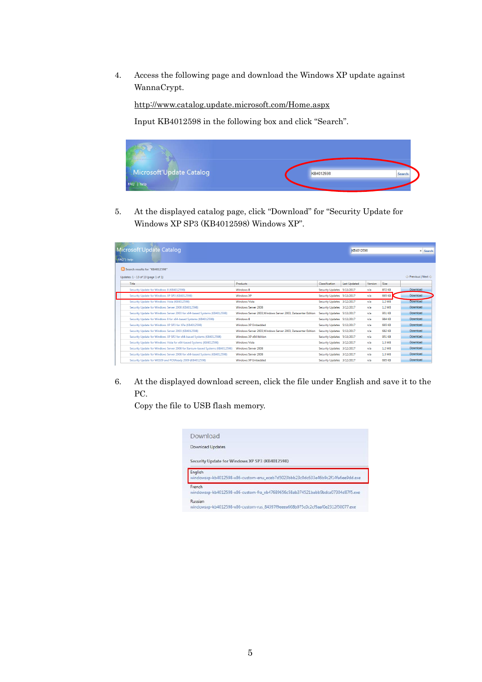4. Access the following page and download the Windows XP update against WannaCrypt.

<http://www.catalog.update.microsoft.com/Home.aspx>

Input KB4012598 in the following box and click "Search".



5. At the displayed catalog page, click "Download" for "Security Update for Windows XP SP3 (KB4012598) Windows XP".

| Microsoft Update Catalog<br>FAQ   help                                        |                                                              |                            | KB4012598           |         |               | × Search            |
|-------------------------------------------------------------------------------|--------------------------------------------------------------|----------------------------|---------------------|---------|---------------|---------------------|
| Search results for "KB4012598"                                                |                                                              |                            |                     |         |               |                     |
| Updates: 1 - 13 of 13 (page 1 of 1)                                           |                                                              |                            |                     |         |               | ← Previous   Next → |
| Title                                                                         | Products                                                     | <b>Classification</b>      | <b>Last Updated</b> | Version | <b>Size</b>   |                     |
| Security Update for Windows 8 (KB4012598)                                     | Windows 8                                                    | Security Updates 5/13/2017 |                     | n/a     | 872 KB        | Download            |
| Security Update for Windows XP SP3 (KB4012598)                                | Windows XP                                                   | Security Updates 5/13/2017 |                     | n/a     | 665 KB        | Download            |
| Security Update for Windows Vista (KB4012598)                                 | <b>Windows Vista</b>                                         | Security Updates 3/12/2017 |                     | n/a     | 1.2 MB        | Download            |
| Security Update for Windows Server 2008 (KB4012598)                           | Windows Server 2008                                          | Security Updates 3/12/2017 |                     | n/a     | 1.2 MB        | <b>Download</b>     |
| Security Update for Windows Server 2003 for x64-based Systems (KB4012598)     | Windows Server 2003. Windows Server 2003. Datacenter Edition | Security Updates 5/13/2017 |                     | n/a     | 951 KB        | <b>Download</b>     |
| Security Update for Windows 8 for x64-based Systems (KB4012598)               | Windows 8                                                    | Security Updates 5/13/2017 |                     | n/a     | <b>984 KB</b> | Download            |
| Security Update for Windows XP SP3 for XPe (KB4012598)                        | Windows XP Embedded                                          | Security Updates 5/13/2017 |                     | n/a     | <b>665 KB</b> | Download            |
| Security Update for Windows Server 2003 (KB4012598)                           | Windows Server 2003. Windows Server 2003. Datacenter Edition | Security Updates 5/13/2017 |                     | n/a     | <b>682 KB</b> | Download            |
| Security Update for Windows XP SP2 for x64-based Systems (KB4012598)          | Windows XP x64 Edition                                       | Security Updates 5/13/2017 |                     | n/a     | 951 KB        | Download            |
| Security Update for Windows Vista for x64-based Systems (KB4012598)           | <b>Windows Vista</b>                                         | Security Updates 3/12/2017 |                     | n/a     | 1.3 MB        | <b>Download</b>     |
| Security Update for Windows Server 2008 for Itanium-based Systems (KB4012598) | Windows Server 2008                                          | Security Updates 3/12/2017 |                     | n/a     | 1.2 MB        | Download            |
| Security Update for Windows Server 2008 for x64-based Systems (KB4012598)     | Windows Server 2008                                          | Security Updates 3/12/2017 |                     | n/a     | 1.3 MB        | <b>Download</b>     |
| Security Update for WES09 and POSReady 2009 (KB4012598)                       | Windows XP Embedded                                          | Security Updates 3/12/2017 |                     | n/a     | <b>665 KB</b> | <b>Download</b>     |

6. At the displayed download screen, click the file under English and save it to the PC.

Copy the file to USB flash memory.

| Download                |                                                                                 |
|-------------------------|---------------------------------------------------------------------------------|
| <b>Download Updates</b> |                                                                                 |
|                         | Security Update for Windows XP SP3 (KB4012598)                                  |
| English                 | windowsxp-kb4012598-x86-custom-enu_eceb7d5023bbb23c0dc633e46b9c2f14fa6ee9dd.exe |
| French                  | windowsxp-kb4012598-x86-custom-fra eb47689656c58ab374521babb9bdca07304d87f5.exe |
| Russian                 | windowsxp-kb4012598-x86-custom-rus 84397f9eeea668b975c0c2cf9aaf0e2312f50077.exe |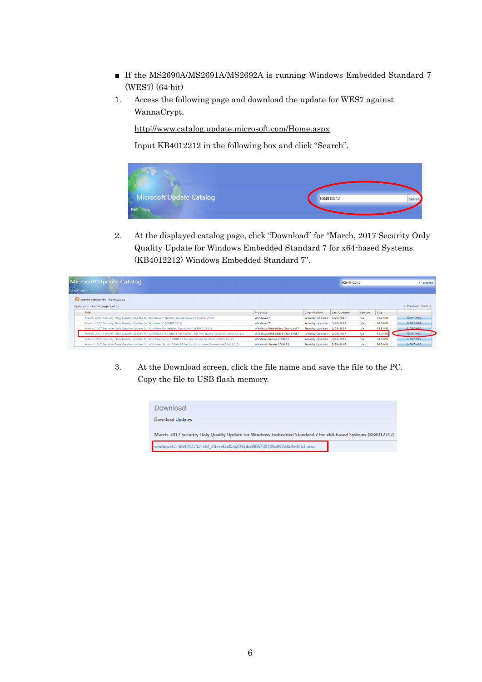- If the MS2690A/MS2691A/MS2692A is running Windows Embedded Standard 7 (WES7) (64-bit)
- 1. Access the following page and download the update for WES7 against WannaCrypt.

<http://www.catalog.update.microsoft.com/Home.aspx>

Input KB4012212 in the following box and click "Search".



2. At the displayed catalog page, click "Download" for "March, 2017 Security Only Quality Update for Windows Embedded Standard 7 for x64-based Systems (KB4012212) Windows Embedded Standard 7".

| Microsoft Update Catalog<br>FAQ <sup>-</sup>   help                                                        |                                    |                            | KB4012212           |         |         | <b>× Search</b> |
|------------------------------------------------------------------------------------------------------------|------------------------------------|----------------------------|---------------------|---------|---------|-----------------|
| Search results for "KB4012212"                                                                             |                                    |                            |                     |         |         |                 |
| Updates: $1 - 6$ of 6 (page $1$ of $1$ )                                                                   |                                    |                            |                     |         |         | Previous   Next |
| Title                                                                                                      | Products                           | Classification             | <b>Last Updated</b> | Version | Size    |                 |
| March, 2017 Security Only Quality Update for Windows 7 for x64-based Systems (KB4012212)                   | Windows <sub>7</sub>               | <b>Security Updates</b>    | 3/28/2017           | n/a     | 33.2 MB | Download        |
| March, 2017 Security Only Ouality Update for Windows 7 (KB4012212)                                         | Windows <sub>7</sub>               | <b>Security Updates</b>    | 3/28/2017           | n/a     | 18.8 MB | Download        |
| March, 2017 Security Only Quality Update for Windows Embedded Standard 7 (KB4012212)                       | Windows Embedded Standard 7        | Security Updates 3/28/2017 |                     | n/a     | 18.8 MB | <b>Download</b> |
| March, 2017 Security Only Quality Update for Windows Embedded Standard 7 for x64-based Systems (KB4012212) | <b>Windows Embedded Standard 7</b> | <b>Security Updates</b>    | 3/28/2017           | n/a     | 33.2 MB | Download        |
| March, 2017 Security Only Ouality Update for Windows Server 2008 R2 for x64-based Systems (KB4012212)      | Windows Server 2008 R2             | <b>Security Updates</b>    | 3/28/2017           | n/a     | 33.2 MB | Download        |
| March, 2017 Security Only Quality Update for Windows Server 2008 R2 for Itanium-based Systems (KB4012212)  | Windows Server 2008 R2             | <b>Security Updates</b>    | 3/28/2017           | n/a     | 34.5 MB | Download        |

3. At the Download screen, click the file name and save the file to the PC. Copy the file to USB flash memory.

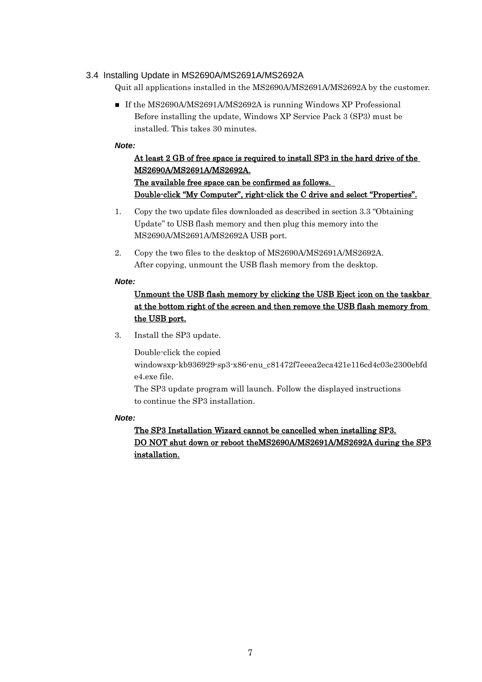## <span id="page-6-0"></span>3.4 Installing Update in MS2690A/MS2691A/MS2692A

Quit all applications installed in the MS2690A/MS2691A/MS2692A by the customer.

■ If the MS2690A/MS2691A/MS2692A is running Windows XP Professional Before installing the update, Windows XP Service Pack 3 (SP3) must be installed. This takes 30 minutes.

#### *Note:*

# At least 2 GB of free space is required to install SP3 in the hard drive of the MS2690A/MS2691A/MS2692A. The available free space can be confirmed as follows. Double-click "My Computer", right-click the C drive and select "Properties".

- 1. Copy the two update files downloaded as described in section [3.3](#page-3-0) "[Obtaining](#page-3-0)  [Update](#page-3-0)" to USB flash memory and then plug this memory into the MS2690A/MS2691A/MS2692A USB port.
- 2. Copy the two files to the desktop of MS2690A/MS2691A/MS2692A. After copying, unmount the USB flash memory from the desktop.

#### *Note:*

# Unmount the USB flash memory by clicking the USB Eject icon on the taskbar at the bottom right of the screen and then remove the USB flash memory from the USB port.

3. Install the SP3 update.

Double-click the copied windowsxp-kb936929-sp3-x86-enu\_c81472f7eeea2eca421e116cd4c03e2300ebfd e4.exe file.

The SP3 update program will launch. Follow the displayed instructions to continue the SP3 installation.

#### *Note:*

The SP3 Installation Wizard cannot be cancelled when installing SP3. DO NOT shut down or reboot theMS2690A/MS2691A/MS2692A during the SP3 installation.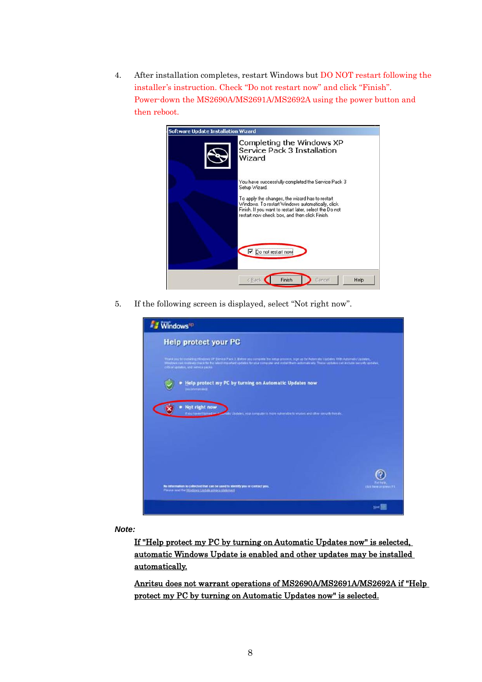4. After installation completes, restart Windows but DO NOT restart following the installer's instruction. Check "Do not restart now" and click "Finish". Power-down the MS2690A/MS2691A/MS2692A using the power button and then reboot.

| <b>Software Update Installation Wizard</b>                         |                                                                                                                                                                                                                                                                                        |  |  |  |  |
|--------------------------------------------------------------------|----------------------------------------------------------------------------------------------------------------------------------------------------------------------------------------------------------------------------------------------------------------------------------------|--|--|--|--|
| Completing the Windows XP<br>Service Pack 3 Installation<br>Wizard |                                                                                                                                                                                                                                                                                        |  |  |  |  |
|                                                                    | You have successfully completed the Service Pack 3<br>Setup Wizard.<br>To apply the changes, the wizard has to restart<br>Windows. To restart Windows automatically, click<br>Finish. If you want to restart later, select the Do not<br>restart now check box, and then click Finish. |  |  |  |  |
|                                                                    | Do not re<br>Finish<br>Help<br>Cancel<br><bac< th=""></bac<>                                                                                                                                                                                                                           |  |  |  |  |

5. If the following screen is displayed, select "Not right now".



#### *Note:*

If "Help protect my PC by turning on Automatic Updates now" is selected, automatic Windows Update is enabled and other updates may be installed automatically.

Anritsu does not warrant operations of MS2690A/MS2691A/MS2692A if "Help protect my PC by turning on Automatic Updates now" is selected.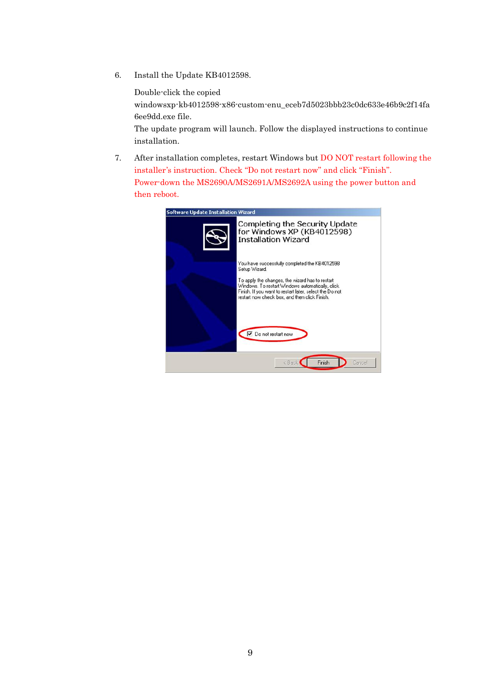6. Install the Update KB4012598.

Double-click the copied

windowsxp-kb4012598-x86-custom-enu\_eceb7d5023bbb23c0dc633e46b9c2f14fa 6ee9dd.exe file.

The update program will launch. Follow the displayed instructions to continue installation.

7. After installation completes, restart Windows but DO NOT restart following the installer's instruction. Check "Do not restart now" and click "Finish". Power-down the MS2690A/MS2691A/MS2692A using the power button and then reboot.

| <b>Software Update Installation Wizard</b>                                                 |                                                                                                                                                                                                                 |  |  |  |  |  |
|--------------------------------------------------------------------------------------------|-----------------------------------------------------------------------------------------------------------------------------------------------------------------------------------------------------------------|--|--|--|--|--|
| Completing the Security Update<br>for Windows XP (KB4012598)<br><b>Installation Wizard</b> |                                                                                                                                                                                                                 |  |  |  |  |  |
|                                                                                            | You have successfully completed the KB4012598<br>Setup Wizard.                                                                                                                                                  |  |  |  |  |  |
|                                                                                            | To apply the changes, the wizard has to restart<br>Windows. To restart Windows automatically, click<br>Finish. If you want to restart later, select the Do not<br>restart now check box, and then click Finish. |  |  |  |  |  |
|                                                                                            | Do not restart now                                                                                                                                                                                              |  |  |  |  |  |
|                                                                                            | Finish<br>< Bac<br>Cancel                                                                                                                                                                                       |  |  |  |  |  |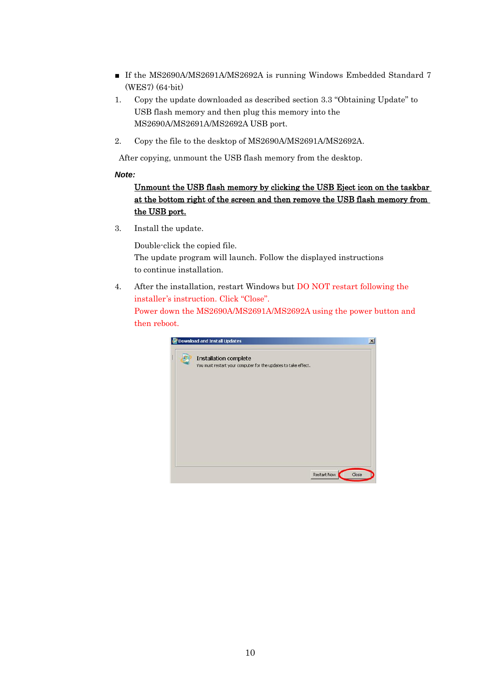- If the MS2690A/MS2691A/MS2692A is running Windows Embedded Standard 7 (WES7) (64-bit)
- 1. Copy the update downloaded as described section [3.3](#page-3-0) "[Obtaining Update](#page-3-0)" to USB flash memory and then plug this memory into the MS2690A/MS2691A/MS2692A USB port.
- 2. Copy the file to the desktop of MS2690A/MS2691A/MS2692A.

After copying, unmount the USB flash memory from the desktop.

#### *Note:*

# Unmount the USB flash memory by clicking the USB Eject icon on the taskbar at the bottom right of the screen and then remove the USB flash memory from the USB port.

3. Install the update.

Double-click the copied file. The update program will launch. Follow the displayed instructions to continue installation.

4. After the installation, restart Windows but DO NOT restart following the installer's instruction. Click "Close". Power down the MS2690A/MS2691A/MS2692A using the power button and then reboot.

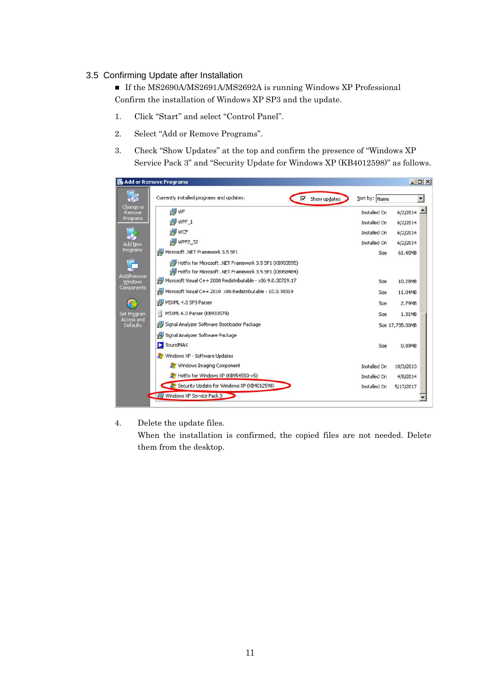### <span id="page-10-0"></span>3.5 Confirming Update after Installation

■ If the MS2690A/MS2691A/MS2692A is running Windows XP Professional Confirm the installation of Windows XP SP3 and the update.

- 1. Click "Start" and select "Control Panel".
- 2. Select "Add or Remove Programs".
- 3. Check "Show Updates" at the top and confirm the presence of "Windows XP Service Pack 3" and "Security Update for Windows XP (KB4012598)" as follows.

| Currently installed programs and updates:                    | Sort by: Name<br>$\nabla$ Show updates |                  |
|--------------------------------------------------------------|----------------------------------------|------------------|
| <b>IN WF</b>                                                 | Installed On                           | $6/2/2014$ $-$   |
| WPF_1                                                        | Installed On                           | 6/2/2014         |
| <b>N</b> WCF                                                 | Installed On                           | 6/2/2014         |
| WPF2_32                                                      | Installed On                           | 6/2/2014         |
| Microsoft .NET Framework 3.5 SP1                             | Size                                   | 61.45MB          |
| Hotfix for Microsoft .NET Framework 3.5 SP1 (KB953595)       |                                        |                  |
| Hotfix for Microsoft .NET Framework 3.5 SP1 (KB958484)       |                                        |                  |
| Microsoft Visual C++ 2008 Redistributable - x86 9.0.30729.17 | Size                                   | 10.28MB          |
| Microsoft Visual C++ 2010 x86 Redistributable - 10.0.30319   | Size                                   | 11.04MB          |
| MSXML 4.0 SP3 Parser                                         | Size                                   | 2.79MB           |
| MSXML 6.0 Parser (KB933579)                                  | Size                                   | 1.31MB           |
| Signal Analyzer Software Bootloader Package                  |                                        | Size 17,735.00MB |
| Signal Analyzer Software Package                             |                                        |                  |
| SoundMAX                                                     | Size                                   | 0.89MB           |
| Windows XP - Software Updates                                |                                        |                  |
| Windows Imaging Component                                    | Installed On                           | 10/3/2013        |
| Hotfix for Windows XP (KB954550-v5)                          | Installed On                           | 4/8/2014         |
| Security Update for Windows XP (KB4012598)                   | Installed On                           | 5/17/2017        |

4. Delete the update files.

When the installation is confirmed, the copied files are not needed. Delete them from the desktop.